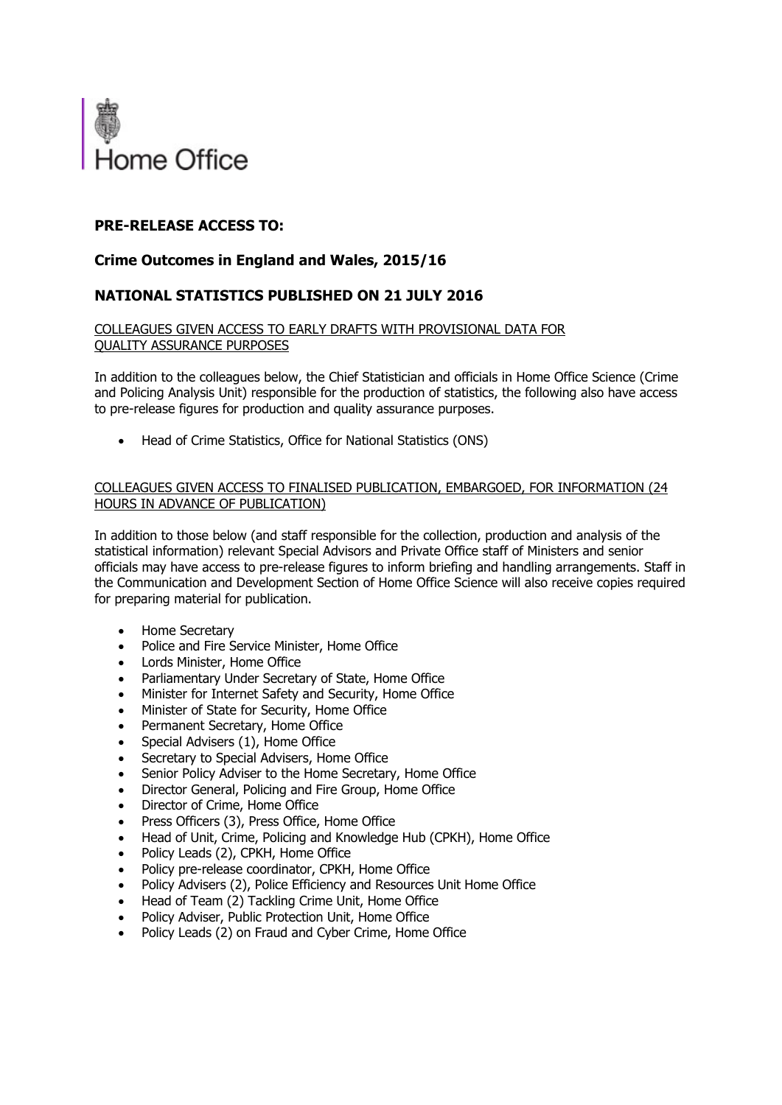

# **PRE-RELEASE ACCESS TO:**

## **Crime Outcomes in England and Wales, 2015/16**

### **NATIONAL STATISTICS PUBLISHED ON 21 JULY 2016**

#### COLLEAGUES GIVEN ACCESS TO EARLY DRAFTS WITH PROVISIONAL DATA FOR QUALITY ASSURANCE PURPOSES

In addition to the colleagues below, the Chief Statistician and officials in Home Office Science (Crime and Policing Analysis Unit) responsible for the production of statistics, the following also have access to pre-release figures for production and quality assurance purposes.

Head of Crime Statistics, Office for National Statistics (ONS)

#### COLLEAGUES GIVEN ACCESS TO FINALISED PUBLICATION, EMBARGOED, FOR INFORMATION (24 HOURS IN ADVANCE OF PUBLICATION)

In addition to those below (and staff responsible for the collection, production and analysis of the statistical information) relevant Special Advisors and Private Office staff of Ministers and senior officials may have access to pre-release figures to inform briefing and handling arrangements. Staff in the Communication and Development Section of Home Office Science will also receive copies required for preparing material for publication.

- Home Secretary
- Police and Fire Service Minister, Home Office
- Lords Minister, Home Office
- Parliamentary Under Secretary of State, Home Office
- Minister for Internet Safety and Security, Home Office
- Minister of State for Security, Home Office
- Permanent Secretary, Home Office
- Special Advisers (1), Home Office
- Secretary to Special Advisers, Home Office
- Senior Policy Adviser to the Home Secretary, Home Office
- Director General, Policing and Fire Group, Home Office
- Director of Crime, Home Office
- Press Officers (3), Press Office, Home Office
- Head of Unit, Crime, Policing and Knowledge Hub (CPKH), Home Office
- Policy Leads (2), CPKH, Home Office
- Policy pre-release coordinator, CPKH, Home Office
- Policy Advisers (2), Police Efficiency and Resources Unit Home Office
- Head of Team (2) Tackling Crime Unit, Home Office
- Policy Adviser, Public Protection Unit, Home Office
- Policy Leads (2) on Fraud and Cyber Crime, Home Office